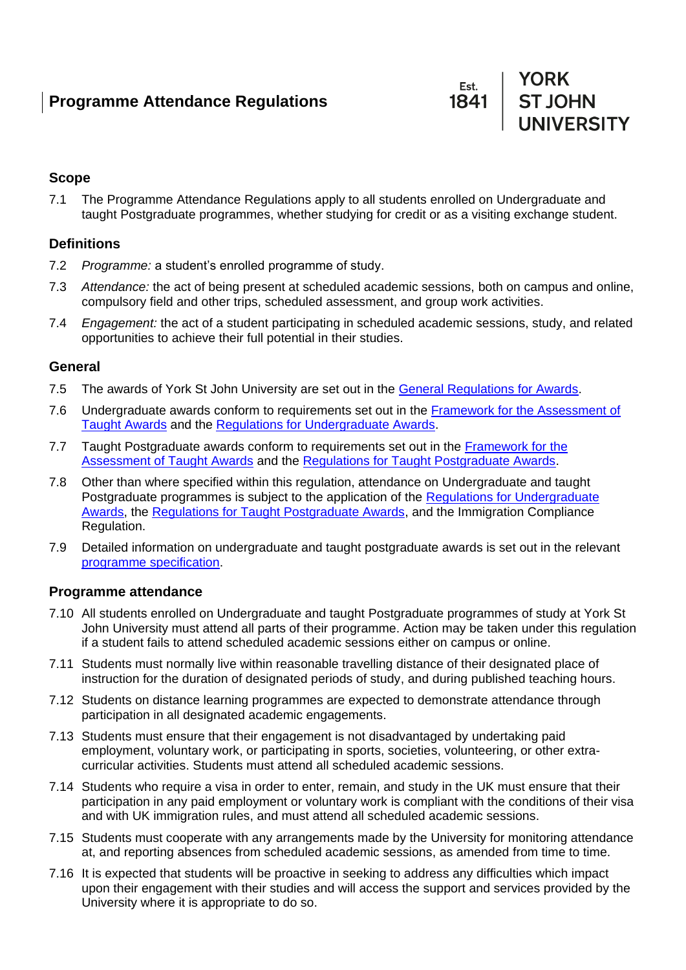



## **Scope**

7.1 The Programme Attendance Regulations apply to all students enrolled on Undergraduate and taught Postgraduate programmes, whether studying for credit or as a visiting exchange student.

## **Definitions**

- 7.2 *Programme:* a student's enrolled programme of study.
- 7.3 *Attendance:* the act of being present at scheduled academic sessions, both on campus and online, compulsory field and other trips, scheduled assessment, and group work activities.
- 7.4 *Engagement:* the act of a student participating in scheduled academic sessions, study, and related opportunities to achieve their full potential in their studies.

#### **General**

- 7.5 The awards of York St John University are set out in the [General Regulations for Awards.](https://www.yorksj.ac.uk/policies-and-documents/regulations/)
- 7.6 Undergraduate awards conform to requirements set out in the [Framework for the Assessment of](https://www.yorksj.ac.uk/policies-and-documents/regulations/)  [Taught Awards](https://www.yorksj.ac.uk/policies-and-documents/regulations/) and the [Regulations for Undergraduate Awards.](https://www.yorksj.ac.uk/policies-and-documents/regulations/)
- 7.7 Taught Postgraduate awards conform to requirements set out in the [Framework for the](https://www.yorksj.ac.uk/policies-and-documents/regulations/)  [Assessment of Taught Awards](https://www.yorksj.ac.uk/policies-and-documents/regulations/) and the [Regulations for Taught Postgraduate Awards.](https://www.yorksj.ac.uk/policies-and-documents/regulations/)
- 7.8 Other than where specified within this regulation, attendance on Undergraduate and taught Postgraduate programmes is subject to the application of the [Regulations for Undergraduate](https://www.yorksj.ac.uk/policies-and-documents/regulations/)  [Awards,](https://www.yorksj.ac.uk/policies-and-documents/regulations/) the [Regulations for Taught Postgraduate Awards,](https://www.yorksj.ac.uk/policies-and-documents/regulations/) and the Immigration Compliance Regulation.
- 7.9 Detailed information on undergraduate and taught postgraduate awards is set out in the relevant [programme specification.](https://www.yorksj.ac.uk/programme-specifications/)

#### **Programme attendance**

- 7.10 All students enrolled on Undergraduate and taught Postgraduate programmes of study at York St John University must attend all parts of their programme. Action may be taken under this regulation if a student fails to attend scheduled academic sessions either on campus or online.
- 7.11 Students must normally live within reasonable travelling distance of their designated place of instruction for the duration of designated periods of study, and during published teaching hours.
- 7.12 Students on distance learning programmes are expected to demonstrate attendance through participation in all designated academic engagements.
- 7.13 Students must ensure that their engagement is not disadvantaged by undertaking paid employment, voluntary work, or participating in sports, societies, volunteering, or other extracurricular activities. Students must attend all scheduled academic sessions.
- 7.14 Students who require a visa in order to enter, remain, and study in the UK must ensure that their participation in any paid employment or voluntary work is compliant with the conditions of their visa and with UK immigration rules, and must attend all scheduled academic sessions.
- 7.15 Students must cooperate with any arrangements made by the University for monitoring attendance at, and reporting absences from scheduled academic sessions, as amended from time to time.
- 7.16 It is expected that students will be proactive in seeking to address any difficulties which impact upon their engagement with their studies and will access the support and services provided by the University where it is appropriate to do so.